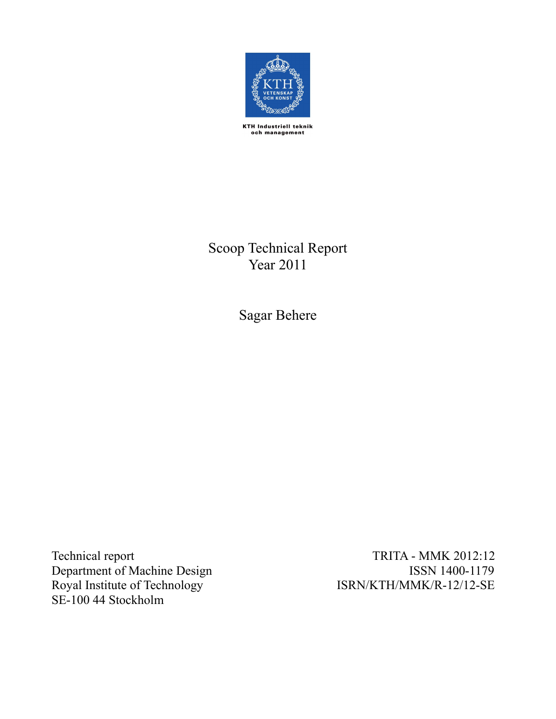

KTH Industriell teknik<br>och management

Scoop Technical Report Year  $2011$ 

Sagar Behere

Technic Department of Machine Design Royal Institute of Technology SE-100 44 Stockholm

TRITA - MMK 2012:12 ISSN 1400-1179 ISRN/KTH/MMK/R-12/12-SE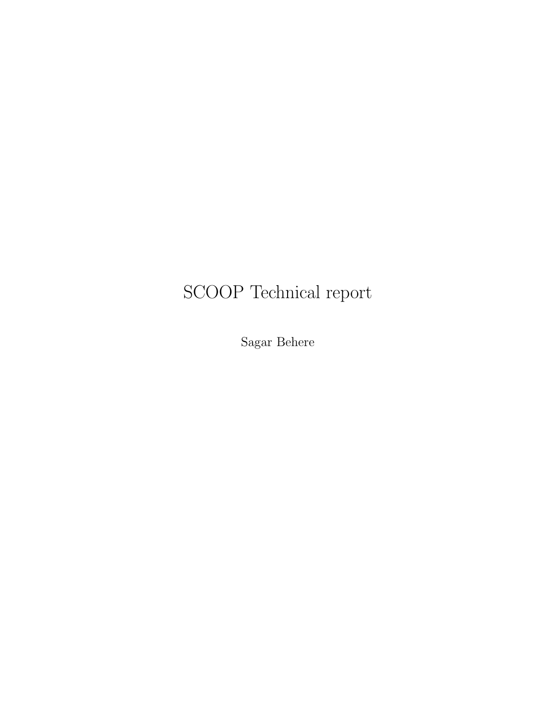# SCOOP Technical report

Sagar Behere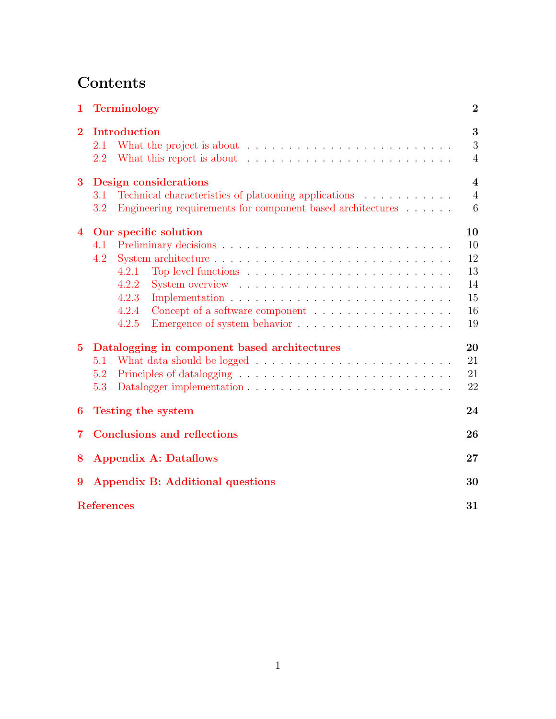# <span id="page-2-1"></span><span id="page-2-0"></span>Contents

| 1              | <b>Terminology</b>                                                                                                                                                |                                                              |  |  |  |
|----------------|-------------------------------------------------------------------------------------------------------------------------------------------------------------------|--------------------------------------------------------------|--|--|--|
| $\overline{2}$ | <b>Introduction</b><br>2.1<br>2.2                                                                                                                                 | 3<br>3<br>$\overline{4}$                                     |  |  |  |
| 3              | Design considerations<br>Technical characteristics of platooning applications<br>3.1<br>Engineering requirements for component based architectures<br>3.2         | $\overline{\mathbf{4}}$<br>$\overline{4}$<br>$6\phantom{.}6$ |  |  |  |
| $\overline{4}$ | Our specific solution<br>4.1<br>4.2<br>4.2.1<br>4.2.2<br>System overview $\dots \dots \dots \dots \dots \dots \dots \dots \dots \dots$<br>4.2.3<br>4.2.4<br>4.2.5 | 10<br>10<br>12<br>13<br>14<br>15<br>16<br>19                 |  |  |  |
| $\bf{5}$       | Datalogging in component based architectures<br>5.1<br>5.2<br>5.3                                                                                                 | 20<br>21<br>21<br>22                                         |  |  |  |
| 6              | <b>Testing the system</b>                                                                                                                                         | 24                                                           |  |  |  |
| $\overline{7}$ | <b>Conclusions and reflections</b>                                                                                                                                | 26                                                           |  |  |  |
| 8              | <b>Appendix A: Dataflows</b>                                                                                                                                      | 27                                                           |  |  |  |
| 9              | Appendix B: Additional questions                                                                                                                                  | 30                                                           |  |  |  |
|                | <b>References</b>                                                                                                                                                 | 31                                                           |  |  |  |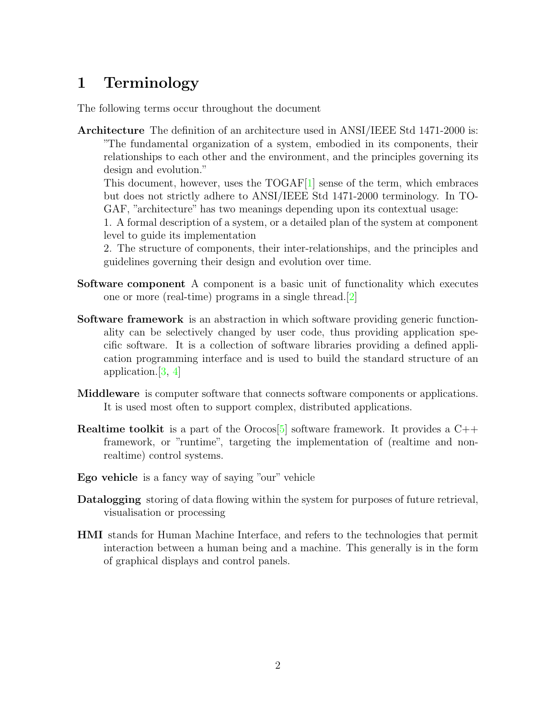# <span id="page-3-2"></span><span id="page-3-0"></span>1 Terminology

<span id="page-3-1"></span>The following terms occur throughout the document

Architecture The definition of an architecture used in ANSI/IEEE Std 1471-2000 is: "The fundamental organization of a system, embodied in its components, their relationships to each other and the environment, and the principles governing its design and evolution."

This document, however, uses the  $TOGAF[1]$  $TOGAF[1]$  sense of the term, which embraces but does not strictly adhere to ANSI/IEEE Std 1471-2000 terminology. In TO-GAF, "architecture" has two meanings depending upon its contextual usage:

1. A formal description of a system, or a detailed plan of the system at component level to guide its implementation

2. The structure of components, their inter-relationships, and the principles and guidelines governing their design and evolution over time.

- Software component A component is a basic unit of functionality which executes one or more (real-time) programs in a single thread.[\[2\]](#page-31-1)
- Software framework is an abstraction in which software providing generic functionality can be selectively changed by user code, thus providing application specific software. It is a collection of software libraries providing a defined application programming interface and is used to build the standard structure of an application.[\[3,](#page-31-2) [4\]](#page-31-3)
- Middleware is computer software that connects software components or applications. It is used most often to support complex, distributed applications.
- **Realtime toolkit** is a part of the Orocos<sup>[\[5\]](#page-31-4)</sup> software framework. It provides a  $C++$ framework, or "runtime", targeting the implementation of (realtime and nonrealtime) control systems.
- Ego vehicle is a fancy way of saying "our" vehicle
- Datalogging storing of data flowing within the system for purposes of future retrieval, visualisation or processing
- HMI stands for Human Machine Interface, and refers to the technologies that permit interaction between a human being and a machine. This generally is in the form of graphical displays and control panels.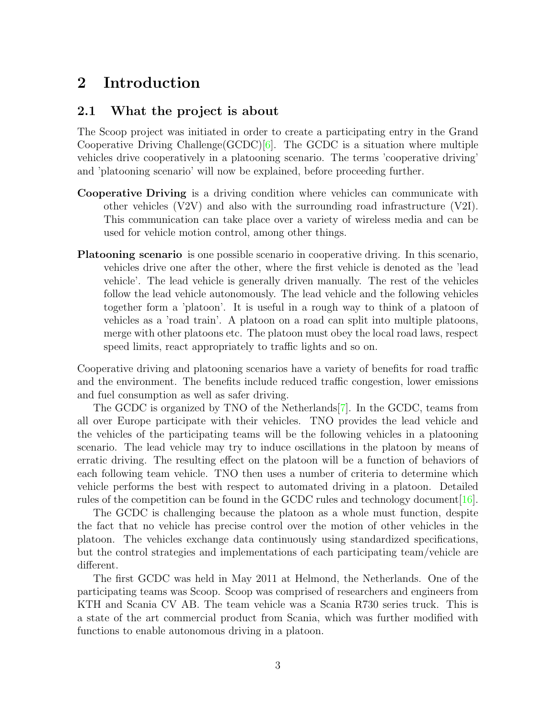## <span id="page-4-3"></span><span id="page-4-0"></span>2 Introduction

### 2.1 What the project is about

The Scoop project was initiated in order to create a participating entry in the Grand Cooperative Driving Challenge  $(GCDC)[6]$  $(GCDC)[6]$ . The GCDC is a situation where multiple vehicles drive cooperatively in a platooning scenario. The terms 'cooperative driving' and 'platooning scenario' will now be explained, before proceeding further.

- Cooperative Driving is a driving condition where vehicles can communicate with other vehicles  $(V2V)$  and also with the surrounding road infrastructure  $(V2I)$ . This communication can take place over a variety of wireless media and can be used for vehicle motion control, among other things.
- Platooning scenario is one possible scenario in cooperative driving. In this scenario, vehicles drive one after the other, where the first vehicle is denoted as the 'lead vehicle'. The lead vehicle is generally driven manually. The rest of the vehicles follow the lead vehicle autonomously. The lead vehicle and the following vehicles together form a 'platoon'. It is useful in a rough way to think of a platoon of vehicles as a 'road train'. A platoon on a road can split into multiple platoons, merge with other platoons etc. The platoon must obey the local road laws, respect speed limits, react appropriately to traffic lights and so on.

<span id="page-4-1"></span>Cooperative driving and platooning scenarios have a variety of benefits for road traffic and the environment. The benefits include reduced traffic congestion, lower emissions and fuel consumption as well as safer driving.

<span id="page-4-2"></span>The GCDC is organized by TNO of the Netherlands[\[7\]](#page-31-6). In the GCDC, teams from all over Europe participate with their vehicles. TNO provides the lead vehicle and the vehicles of the participating teams will be the following vehicles in a platooning scenario. The lead vehicle may try to induce oscillations in the platoon by means of erratic driving. The resulting effect on the platoon will be a function of behaviors of each following team vehicle. TNO then uses a number of criteria to determine which vehicle performs the best with respect to automated driving in a platoon. Detailed rules of the competition can be found in the GCDC rules and technology document[\[16\]](#page-32-0).

The GCDC is challenging because the platoon as a whole must function, despite the fact that no vehicle has precise control over the motion of other vehicles in the platoon. The vehicles exchange data continuously using standardized specifications, but the control strategies and implementations of each participating team/vehicle are different.

The first GCDC was held in May 2011 at Helmond, the Netherlands. One of the participating teams was Scoop. Scoop was comprised of researchers and engineers from KTH and Scania CV AB. The team vehicle was a Scania R730 series truck. This is a state of the art commercial product from Scania, which was further modified with functions to enable autonomous driving in a platoon.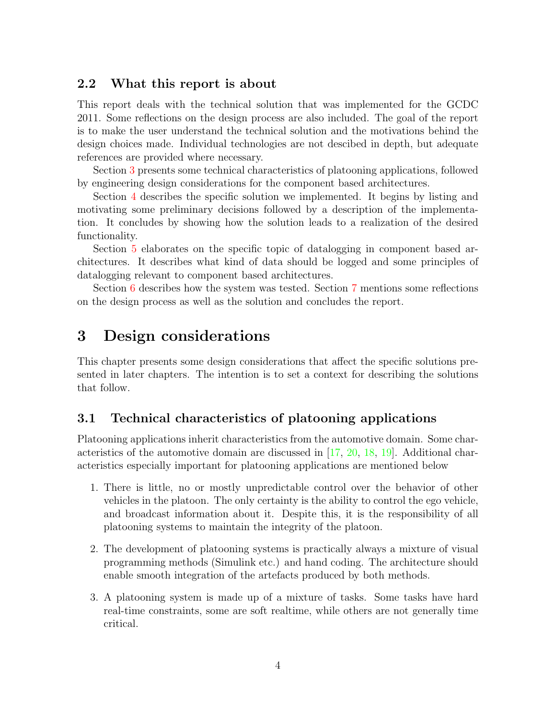### 2.2 What this report is about

This report deals with the technical solution that was implemented for the GCDC 2011. Some reflections on the design process are also included. The goal of the report is to make the user understand the technical solution and the motivations behind the design choices made. Individual technologies are not descibed in depth, but adequate references are provided where necessary.

Section [3](#page-4-1) presents some technical characteristics of platooning applications, followed by engineering design considerations for the component based architectures.

Section [4](#page-10-0) describes the specific solution we implemented. It begins by listing and motivating some preliminary decisions followed by a description of the implementation. It concludes by showing how the solution leads to a realization of the desired functionality.

Section [5](#page-20-0) elaborates on the specific topic of datalogging in component based architectures. It describes what kind of data should be logged and some principles of datalogging relevant to component based architectures.

Section [6](#page-24-0) describes how the system was tested. Section [7](#page-26-0) mentions some reflections on the design process as well as the solution and concludes the report.

# 3 Design considerations

This chapter presents some design considerations that affect the specific solutions presented in later chapters. The intention is to set a context for describing the solutions that follow.

### 3.1 Technical characteristics of platooning applications

Platooning applications inherit characteristics from the automotive domain. Some characteristics of the automotive domain are discussed in  $[17, 20, 18, 19]$  $[17, 20, 18, 19]$  $[17, 20, 18, 19]$  $[17, 20, 18, 19]$  $[17, 20, 18, 19]$  $[17, 20, 18, 19]$ . Additional characteristics especially important for platooning applications are mentioned below

- 1. There is little, no or mostly unpredictable control over the behavior of other vehicles in the platoon. The only certainty is the ability to control the ego vehicle, and broadcast information about it. Despite this, it is the responsibility of all platooning systems to maintain the integrity of the platoon.
- 2. The development of platooning systems is practically always a mixture of visual programming methods (Simulink etc.) and hand coding. The architecture should enable smooth integration of the artefacts produced by both methods.
- <span id="page-5-0"></span>3. A platooning system is made up of a mixture of tasks. Some tasks have hard real-time constraints, some are soft realtime, while others are not generally time critical.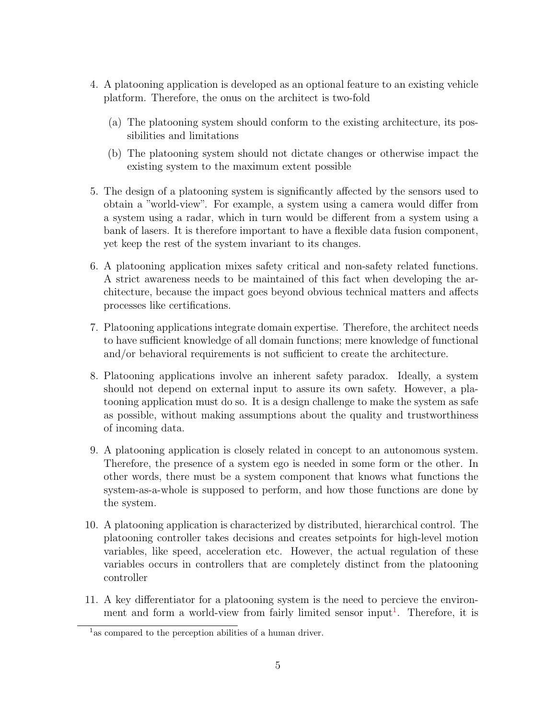- 4. A platooning application is developed as an optional feature to an existing vehicle platform. Therefore, the onus on the architect is two-fold
	- (a) The platooning system should conform to the existing architecture, its possibilities and limitations
	- (b) The platooning system should not dictate changes or otherwise impact the existing system to the maximum extent possible
- 5. The design of a platooning system is significantly affected by the sensors used to obtain a "world-view". For example, a system using a camera would differ from a system using a radar, which in turn would be different from a system using a bank of lasers. It is therefore important to have a flexible data fusion component, yet keep the rest of the system invariant to its changes.
- 6. A platooning application mixes safety critical and non-safety related functions. A strict awareness needs to be maintained of this fact when developing the architecture, because the impact goes beyond obvious technical matters and affects processes like certifications.
- 7. Platooning applications integrate domain expertise. Therefore, the architect needs to have sufficient knowledge of all domain functions; mere knowledge of functional and/or behavioral requirements is not sufficient to create the architecture.
- 8. Platooning applications involve an inherent safety paradox. Ideally, a system should not depend on external input to assure its own safety. However, a platooning application must do so. It is a design challenge to make the system as safe as possible, without making assumptions about the quality and trustworthiness of incoming data.
- 9. A platooning application is closely related in concept to an autonomous system. Therefore, the presence of a system ego is needed in some form or the other. In other words, there must be a system component that knows what functions the system-as-a-whole is supposed to perform, and how those functions are done by the system.
- <span id="page-6-0"></span>10. A platooning application is characterized by distributed, hierarchical control. The platooning controller takes decisions and creates setpoints for high-level motion variables, like speed, acceleration etc. However, the actual regulation of these variables occurs in controllers that are completely distinct from the platooning controller
- 11. A key differentiator for a platooning system is the need to percieve the environ-ment and form a world-view from fairly limited sensor input<sup>[1](#page-5-0)</sup>. Therefore, it is

<sup>&</sup>lt;sup>1</sup> as compared to the perception abilities of a human driver.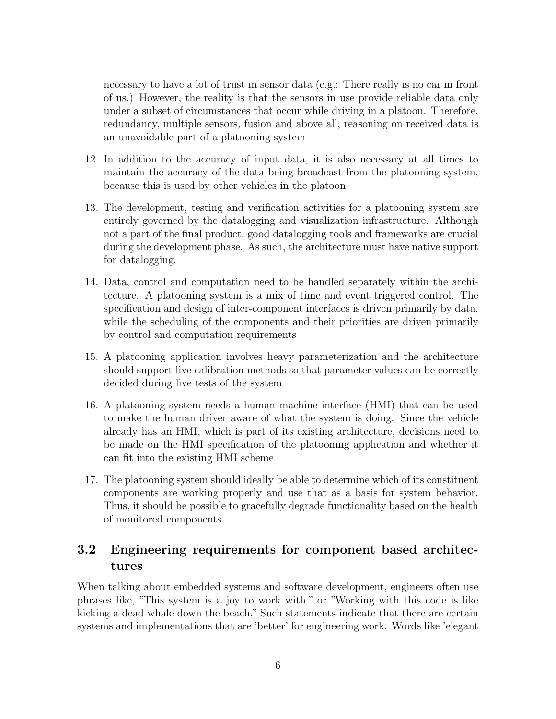necessary to have a lot of trust in sensor data (e.g.: There really is no car in front of us.) However, the reality is that the sensors in use provide reliable data only under a subset of circumstances that occur while driving in a platoon. Therefore, redundancy, multiple sensors, fusion and above all, reasoning on received data is an unavoidable part of a platooning system

- 12. In addition to the accuracy of input data, it is also necessary at all times to maintain the accuracy of the data being broadcast from the platooning system, because this is used by other vehicles in the platoon
- 13. The development, testing and verification activities for a platooning system are entirely governed by the datalogging and visualization infrastructure. Although not a part of the final product, good datalogging tools and frameworks are crucial during the development phase. As such, the architecture must have native support for datalogging.
- 14. Data, control and computation need to be handled separately within the architecture. A platooning system is a mix of time and event triggered control. The specification and design of inter-component interfaces is driven primarily by data, while the scheduling of the components and their priorities are driven primarily by control and computation requirements
- 15. A platooning application involves heavy parameterization and the architecture should support live calibration methods so that parameter values can be correctly decided during live tests of the system
- 16. A platooning system needs a human machine interface (HMI) that can be used to make the human driver aware of what the system is doing. Since the vehicle already has an HMI, which is part of its existing architecture, decisions need to be made on the HMI specification of the platooning application and whether it can fit into the existing HMI scheme
- 17. The platooning system should ideally be able to determine which of its constituent components are working properly and use that as a basis for system behavior. Thus, it should be possible to gracefully degrade functionality based on the health of monitored components

### 3.2 Engineering requirements for component based architectures

When talking about embedded systems and software development, engineers often use phrases like, "This system is a joy to work with." or "Working with this code is like kicking a dead whale down the beach." Such statements indicate that there are certain systems and implementations that are 'better' for engineering work. Words like 'elegant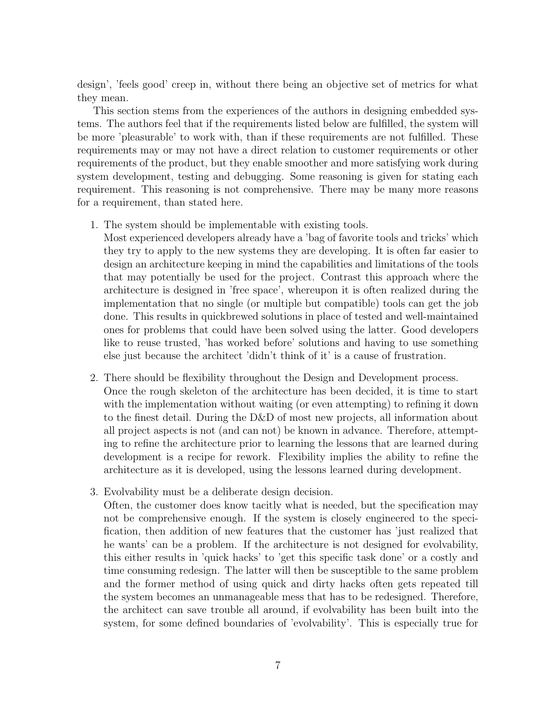design', 'feels good' creep in, without there being an objective set of metrics for what they mean.

This section stems from the experiences of the authors in designing embedded systems. The authors feel that if the requirements listed below are fulfilled, the system will be more 'pleasurable' to work with, than if these requirements are not fulfilled. These requirements may or may not have a direct relation to customer requirements or other requirements of the product, but they enable smoother and more satisfying work during system development, testing and debugging. Some reasoning is given for stating each requirement. This reasoning is not comprehensive. There may be many more reasons for a requirement, than stated here.

1. The system should be implementable with existing tools.

Most experienced developers already have a 'bag of favorite tools and tricks' which they try to apply to the new systems they are developing. It is often far easier to design an architecture keeping in mind the capabilities and limitations of the tools that may potentially be used for the project. Contrast this approach where the architecture is designed in 'free space', whereupon it is often realized during the implementation that no single (or multiple but compatible) tools can get the job done. This results in quickbrewed solutions in place of tested and well-maintained ones for problems that could have been solved using the latter. Good developers like to reuse trusted, 'has worked before' solutions and having to use something else just because the architect 'didn't think of it' is a cause of frustration.

- 2. There should be flexibility throughout the Design and Development process. Once the rough skeleton of the architecture has been decided, it is time to start with the implementation without waiting (or even attempting) to refining it down to the finest detail. During the D&D of most new projects, all information about all project aspects is not (and can not) be known in advance. Therefore, attempting to refine the architecture prior to learning the lessons that are learned during development is a recipe for rework. Flexibility implies the ability to refine the architecture as it is developed, using the lessons learned during development.
- 3. Evolvability must be a deliberate design decision.

Often, the customer does know tacitly what is needed, but the specification may not be comprehensive enough. If the system is closely engineered to the specification, then addition of new features that the customer has 'just realized that he wants' can be a problem. If the architecture is not designed for evolvability, this either results in 'quick hacks' to 'get this specific task done' or a costly and time consuming redesign. The latter will then be susceptible to the same problem and the former method of using quick and dirty hacks often gets repeated till the system becomes an unmanageable mess that has to be redesigned. Therefore, the architect can save trouble all around, if evolvability has been built into the system, for some defined boundaries of 'evolvability'. This is especially true for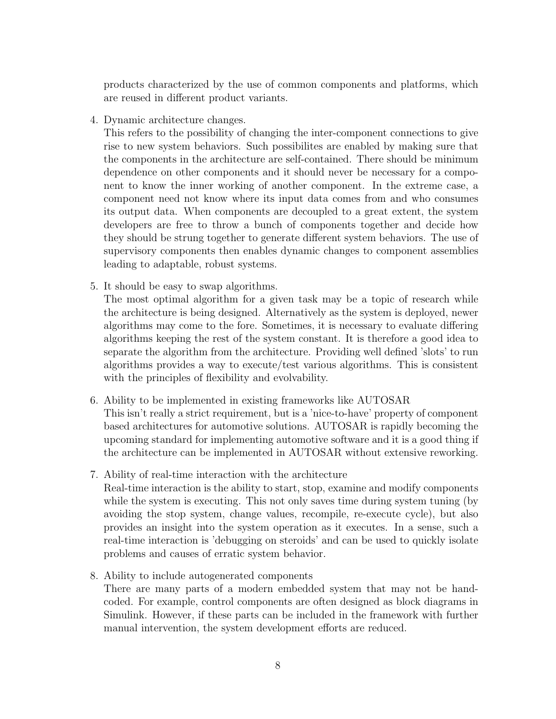products characterized by the use of common components and platforms, which are reused in different product variants.

4. Dynamic architecture changes.

This refers to the possibility of changing the inter-component connections to give rise to new system behaviors. Such possibilites are enabled by making sure that the components in the architecture are self-contained. There should be minimum dependence on other components and it should never be necessary for a component to know the inner working of another component. In the extreme case, a component need not know where its input data comes from and who consumes its output data. When components are decoupled to a great extent, the system developers are free to throw a bunch of components together and decide how they should be strung together to generate different system behaviors. The use of supervisory components then enables dynamic changes to component assemblies leading to adaptable, robust systems.

5. It should be easy to swap algorithms.

The most optimal algorithm for a given task may be a topic of research while the architecture is being designed. Alternatively as the system is deployed, newer algorithms may come to the fore. Sometimes, it is necessary to evaluate differing algorithms keeping the rest of the system constant. It is therefore a good idea to separate the algorithm from the architecture. Providing well defined 'slots' to run algorithms provides a way to execute/test various algorithms. This is consistent with the principles of flexibility and evolvability.

- 6. Ability to be implemented in existing frameworks like AUTOSAR This isn't really a strict requirement, but is a 'nice-to-have' property of component based architectures for automotive solutions. AUTOSAR is rapidly becoming the upcoming standard for implementing automotive software and it is a good thing if the architecture can be implemented in AUTOSAR without extensive reworking.
- 7. Ability of real-time interaction with the architecture Real-time interaction is the ability to start, stop, examine and modify components while the system is executing. This not only saves time during system tuning (by avoiding the stop system, change values, recompile, re-execute cycle), but also provides an insight into the system operation as it executes. In a sense, such a real-time interaction is 'debugging on steroids' and can be used to quickly isolate problems and causes of erratic system behavior.
- 8. Ability to include autogenerated components There are many parts of a modern embedded system that may not be handcoded. For example, control components are often designed as block diagrams in Simulink. However, if these parts can be included in the framework with further manual intervention, the system development efforts are reduced.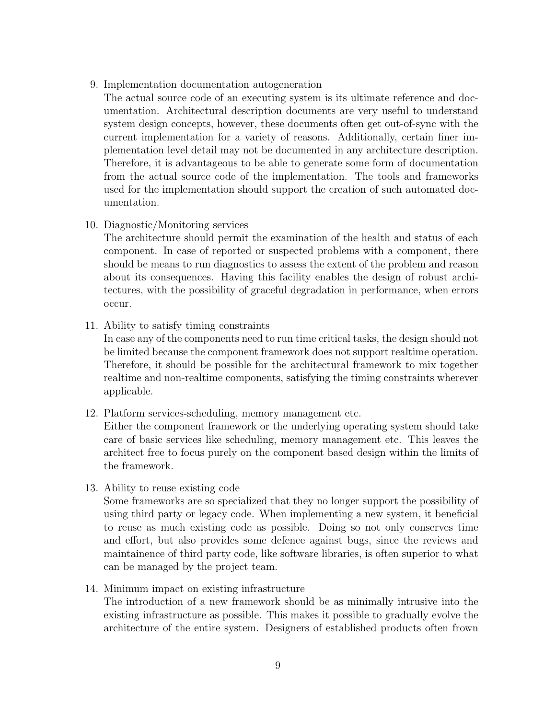<span id="page-10-2"></span>9. Implementation documentation autogeneration

<span id="page-10-0"></span>The actual source code of an executing system is its ultimate reference and documentation. Architectural description documents are very useful to understand system design concepts, however, these documents often get out-of-sync with the current implementation for a variety of reasons. Additionally, certain finer implementation level detail may not be documented in any architecture description. Therefore, it is advantageous to be able to generate some form of documentation from the actual source code of the implementation. The tools and frameworks used for the implementation should support the creation of such automated documentation.

10. Diagnostic/Monitoring services

<span id="page-10-1"></span>The architecture should permit the examination of the health and status of each component. In case of reported or suspected problems with a component, there should be means to run diagnostics to assess the extent of the problem and reason about its consequences. Having this facility enables the design of robust architectures, with the possibility of graceful degradation in performance, when errors occur.

11. Ability to satisfy timing constraints

In case any of the components need to run time critical tasks, the design should not be limited because the component framework does not support realtime operation. Therefore, it should be possible for the architectural framework to mix together realtime and non-realtime components, satisfying the timing constraints wherever applicable.

12. Platform services-scheduling, memory management etc.

Either the component framework or the underlying operating system should take care of basic services like scheduling, memory management etc. This leaves the architect free to focus purely on the component based design within the limits of the framework.

13. Ability to reuse existing code

Some frameworks are so specialized that they no longer support the possibility of using third party or legacy code. When implementing a new system, it beneficial to reuse as much existing code as possible. Doing so not only conserves time and effort, but also provides some defence against bugs, since the reviews and maintainence of third party code, like software libraries, is often superior to what can be managed by the project team.

14. Minimum impact on existing infrastructure

The introduction of a new framework should be as minimally intrusive into the existing infrastructure as possible. This makes it possible to gradually evolve the architecture of the entire system. Designers of established products often frown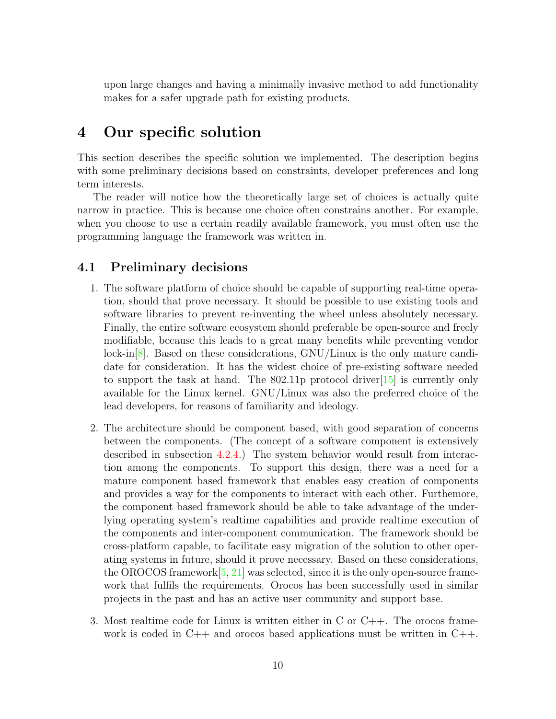<span id="page-11-0"></span>upon large changes and having a minimally invasive method to add functionality makes for a safer upgrade path for existing products.

### 4 Our specific solution

This section describes the specific solution we implemented. The description begins with some preliminary decisions based on constraints, developer preferences and long term interests.

The reader will notice how the theoretically large set of choices is actually quite narrow in practice. This is because one choice often constrains another. For example, when you choose to use a certain readily available framework, you must often use the programming language the framework was written in.

### 4.1 Preliminary decisions

- 1. The software platform of choice should be capable of supporting real-time operation, should that prove necessary. It should be possible to use existing tools and software libraries to prevent re-inventing the wheel unless absolutely necessary. Finally, the entire software ecosystem should preferable be open-source and freely modifiable, because this leads to a great many benefits while preventing vendor lock-in[\[8\]](#page-31-7). Based on these considerations, GNU/Linux is the only mature candidate for consideration. It has the widest choice of pre-existing software needed to support the task at hand. The  $802.11p$  protocol driver [\[15\]](#page-31-8) is currently only available for the Linux kernel. GNU/Linux was also the preferred choice of the lead developers, for reasons of familiarity and ideology.
- 2. The architecture should be component based, with good separation of concerns between the components. (The concept of a software component is extensively described in subsection [4.2.4.](#page-16-0)) The system behavior would result from interaction among the components. To support this design, there was a need for a mature component based framework that enables easy creation of components and provides a way for the components to interact with each other. Furthemore, the component based framework should be able to take advantage of the underlying operating system's realtime capabilities and provide realtime execution of the components and inter-component communication. The framework should be cross-platform capable, to facilitate easy migration of the solution to other operating systems in future, should it prove necessary. Based on these considerations, the OROCOS framework $[5, 21]$  $[5, 21]$  $[5, 21]$  was selected, since it is the only open-source framework that fulfils the requirements. Orocos has been successfully used in similar projects in the past and has an active user community and support base.
- 3. Most realtime code for Linux is written either in C or  $C_{++}$ . The orocos framework is coded in  $C++$  and orocos based applications must be written in  $C++$ .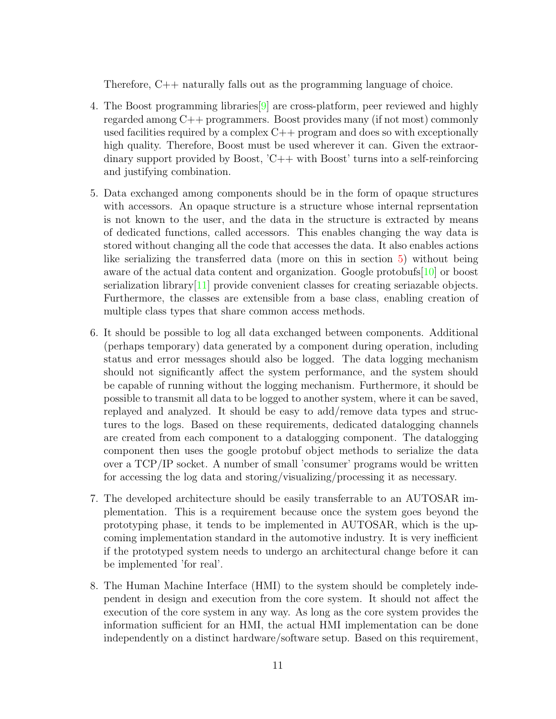<span id="page-12-1"></span>Therefore, C++ naturally falls out as the programming language of choice.

- 4. The Boost programming libraries[\[9\]](#page-31-9) are cross-platform, peer reviewed and highly regarded among C++ programmers. Boost provides many (if not most) commonly used facilities required by a complex  $C++$  program and does so with exceptionally high quality. Therefore, Boost must be used wherever it can. Given the extraordinary support provided by Boost, 'C++ with Boost' turns into a self-reinforcing and justifying combination.
- 5. Data exchanged among components should be in the form of opaque structures with accessors. An opaque structure is a structure whose internal reprsentation is not known to the user, and the data in the structure is extracted by means of dedicated functions, called accessors. This enables changing the way data is stored without changing all the code that accesses the data. It also enables actions like serializing the transferred data (more on this in section [5\)](#page-20-0) without being aware of the actual data content and organization. Google protobufs[\[10\]](#page-31-10) or boost serialization library  $[11]$  provide convenient classes for creating seriazable objects. Furthermore, the classes are extensible from a base class, enabling creation of multiple class types that share common access methods.
- 6. It should be possible to log all data exchanged between components. Additional (perhaps temporary) data generated by a component during operation, including status and error messages should also be logged. The data logging mechanism should not significantly affect the system performance, and the system should be capable of running without the logging mechanism. Furthermore, it should be possible to transmit all data to be logged to another system, where it can be saved, replayed and analyzed. It should be easy to add/remove data types and structures to the logs. Based on these requirements, dedicated datalogging channels are created from each component to a datalogging component. The datalogging component then uses the google protobuf object methods to serialize the data over a TCP/IP socket. A number of small 'consumer' programs would be written for accessing the log data and storing/visualizing/processing it as necessary.
- 7. The developed architecture should be easily transferrable to an AUTOSAR implementation. This is a requirement because once the system goes beyond the prototyping phase, it tends to be implemented in AUTOSAR, which is the upcoming implementation standard in the automotive industry. It is very inefficient if the prototyped system needs to undergo an architectural change before it can be implemented 'for real'.
- <span id="page-12-0"></span>8. The Human Machine Interface (HMI) to the system should be completely independent in design and execution from the core system. It should not affect the execution of the core system in any way. As long as the core system provides the information sufficient for an HMI, the actual HMI implementation can be done independently on a distinct hardware/software setup. Based on this requirement,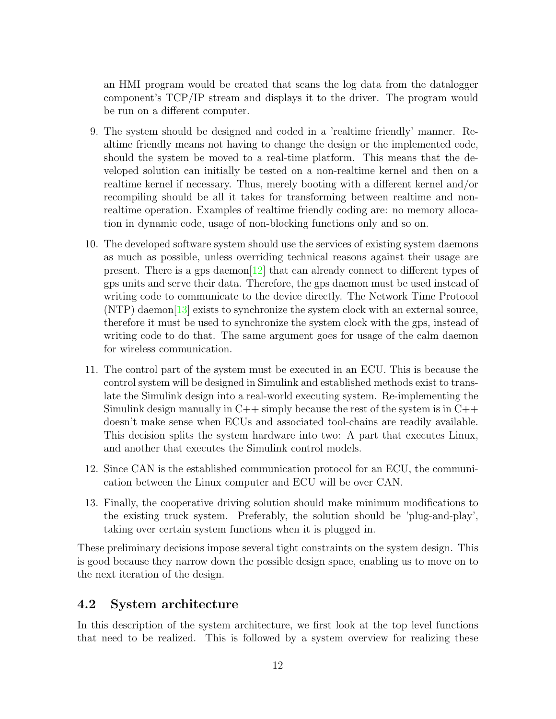an HMI program would be created that scans the log data from the datalogger component's TCP/IP stream and displays it to the driver. The program would be run on a different computer.

- <span id="page-13-0"></span>9. The system should be designed and coded in a 'realtime friendly' manner. Realtime friendly means not having to change the design or the implemented code, should the system be moved to a real-time platform. This means that the developed solution can initially be tested on a non-realtime kernel and then on a realtime kernel if necessary. Thus, merely booting with a different kernel and/or recompiling should be all it takes for transforming between realtime and nonrealtime operation. Examples of realtime friendly coding are: no memory allocation in dynamic code, usage of non-blocking functions only and so on.
- 10. The developed software system should use the services of existing system daemons as much as possible, unless overriding technical reasons against their usage are present. There is a gps daemon  $[12]$  that can already connect to different types of gps units and serve their data. Therefore, the gps daemon must be used instead of writing code to communicate to the device directly. The Network Time Protocol  $(NTP)$  daemon $[13]$  exists to synchronize the system clock with an external source, therefore it must be used to synchronize the system clock with the gps, instead of writing code to do that. The same argument goes for usage of the calm daemon for wireless communication.
- <span id="page-13-2"></span>11. The control part of the system must be executed in an ECU. This is because the control system will be designed in Simulink and established methods exist to translate the Simulink design into a real-world executing system. Re-implementing the Simulink design manually in  $C_{++}$  simply because the rest of the system is in  $C_{++}$ doesn't make sense when ECUs and associated tool-chains are readily available. This decision splits the system hardware into two: A part that executes Linux, and another that executes the Simulink control models.
- 12. Since CAN is the established communication protocol for an ECU, the communication between the Linux computer and ECU will be over CAN.
- 13. Finally, the cooperative driving solution should make minimum modifications to the existing truck system. Preferably, the solution should be 'plug-and-play', taking over certain system functions when it is plugged in.

These preliminary decisions impose several tight constraints on the system design. This is good because they narrow down the possible design space, enabling us to move on to the next iteration of the design.

### 4.2 System architecture

<span id="page-13-1"></span>In this description of the system architecture, we first look at the top level functions that need to be realized. This is followed by a system overview for realizing these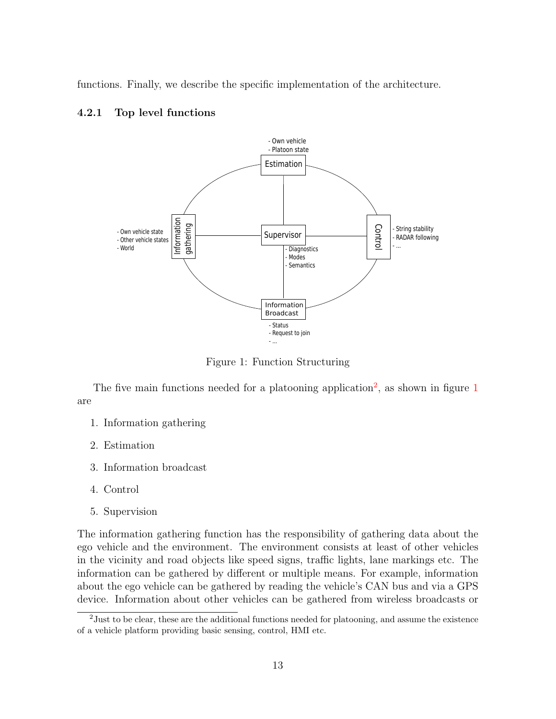functions. Finally, we describe the specific implementation of the architecture.

#### 4.2.1 Top level functions



Figure 1: Function Structuring

The five main functions needed for a platooning application<sup>[2](#page-13-1)</sup>, as shown in figure  $1$ are

- 1. Information gathering
- 2. Estimation
- 3. Information broadcast
- 4. Control
- 5. Supervision

<span id="page-14-0"></span>The information gathering function has the responsibility of gathering data about the ego vehicle and the environment. The environment consists at least of other vehicles in the vicinity and road objects like speed signs, traffic lights, lane markings etc. The information can be gathered by different or multiple means. For example, information about the ego vehicle can be gathered by reading the vehicle's CAN bus and via a GPS device. Information about other vehicles can be gathered from wireless broadcasts or

<span id="page-14-1"></span><sup>&</sup>lt;sup>2</sup> Just to be clear, these are the additional functions needed for platooning, and assume the existence of a vehicle platform providing basic sensing, control, HMI etc.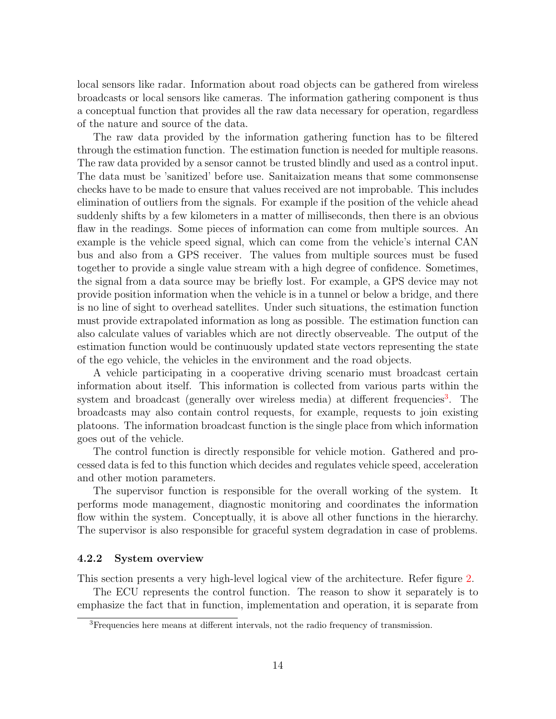local sensors like radar. Information about road objects can be gathered from wireless broadcasts or local sensors like cameras. The information gathering component is thus a conceptual function that provides all the raw data necessary for operation, regardless of the nature and source of the data.

The raw data provided by the information gathering function has to be filtered through the estimation function. The estimation function is needed for multiple reasons. The raw data provided by a sensor cannot be trusted blindly and used as a control input. The data must be 'sanitized' before use. Sanitaization means that some commonsense checks have to be made to ensure that values received are not improbable. This includes elimination of outliers from the signals. For example if the position of the vehicle ahead suddenly shifts by a few kilometers in a matter of milliseconds, then there is an obvious flaw in the readings. Some pieces of information can come from multiple sources. An example is the vehicle speed signal, which can come from the vehicle's internal CAN bus and also from a GPS receiver. The values from multiple sources must be fused together to provide a single value stream with a high degree of confidence. Sometimes, the signal from a data source may be briefly lost. For example, a GPS device may not provide position information when the vehicle is in a tunnel or below a bridge, and there is no line of sight to overhead satellites. Under such situations, the estimation function must provide extrapolated information as long as possible. The estimation function can also calculate values of variables which are not directly observeable. The output of the estimation function would be continuously updated state vectors representing the state of the ego vehicle, the vehicles in the environment and the road objects.

<span id="page-15-1"></span>A vehicle participating in a cooperative driving scenario must broadcast certain information about itself. This information is collected from various parts within the system and broadcast (generally over wireless media) at different frequencies<sup>[3](#page-14-1)</sup>. The broadcasts may also contain control requests, for example, requests to join existing platoons. The information broadcast function is the single place from which information goes out of the vehicle.

The control function is directly responsible for vehicle motion. Gathered and processed data is fed to this function which decides and regulates vehicle speed, acceleration and other motion parameters.

<span id="page-15-0"></span>The supervisor function is responsible for the overall working of the system. It performs mode management, diagnostic monitoring and coordinates the information flow within the system. Conceptually, it is above all other functions in the hierarchy. The supervisor is also responsible for graceful system degradation in case of problems.

#### 4.2.2 System overview

This section presents a very high-level logical view of the architecture. Refer figure [2.](#page-15-1)

The ECU represents the control function. The reason to show it separately is to emphasize the fact that in function, implementation and operation, it is separate from

<sup>3</sup>Frequencies here means at different intervals, not the radio frequency of transmission.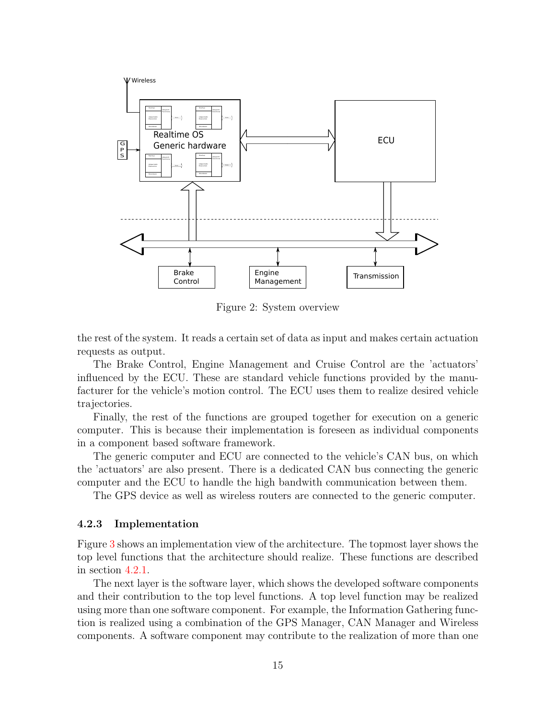<span id="page-16-2"></span>

<span id="page-16-1"></span>Figure 2: System overview

the rest of the system. It reads a certain set of data as input and makes certain actuation requests as output.

The Brake Control, Engine Management and Cruise Control are the 'actuators' influenced by the ECU. These are standard vehicle functions provided by the manufacturer for the vehicle's motion control. The ECU uses them to realize desired vehicle trajectories.

Finally, the rest of the functions are grouped together for execution on a generic computer. This is because their implementation is foreseen as individual components in a component based software framework.

The generic computer and ECU are connected to the vehicle's CAN bus, on which the 'actuators' are also present. There is a dedicated CAN bus connecting the generic computer and the ECU to handle the high bandwith communication between them.

The GPS device as well as wireless routers are connected to the generic computer.

#### 4.2.3 Implementation

Figure [3](#page-16-1) shows an implementation view of the architecture. The topmost layer shows the top level functions that the architecture should realize. These functions are described in section [4.2.1.](#page-13-0)

<span id="page-16-0"></span>The next layer is the software layer, which shows the developed software components and their contribution to the top level functions. A top level function may be realized using more than one software component. For example, the Information Gathering function is realized using a combination of the GPS Manager, CAN Manager and Wireless components. A software component may contribute to the realization of more than one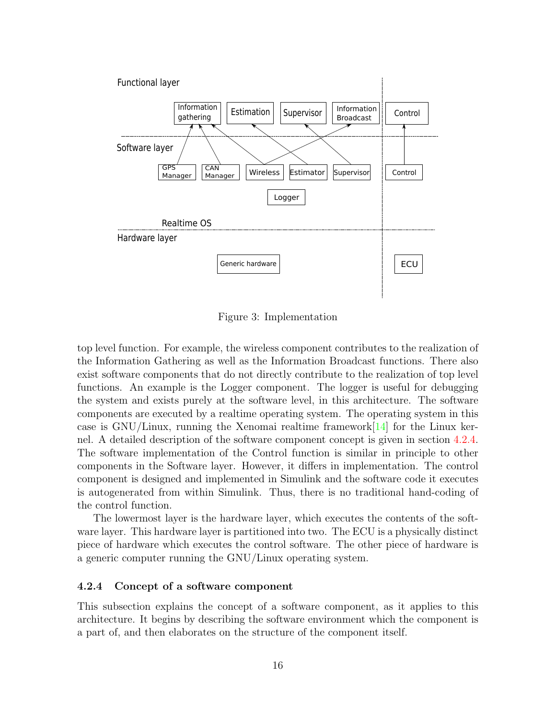<span id="page-17-2"></span>

<span id="page-17-0"></span>Figure 3: Implementation

top level function. For example, the wireless component contributes to the realization of the Information Gathering as well as the Information Broadcast functions. There also exist software components that do not directly contribute to the realization of top level functions. An example is the Logger component. The logger is useful for debugging the system and exists purely at the software level, in this architecture. The software components are executed by a realtime operating system. The operating system in this case is  $GNU/L$ inux, running the Xenomai realtime framework $[14]$  for the Linux kernel. A detailed description of the software component concept is given in section [4.2.4.](#page-16-0) The software implementation of the Control function is similar in principle to other components in the Software layer. However, it differs in implementation. The control component is designed and implemented in Simulink and the software code it executes is autogenerated from within Simulink. Thus, there is no traditional hand-coding of the control function.

The lowermost layer is the hardware layer, which executes the contents of the software layer. This hardware layer is partitioned into two. The ECU is a physically distinct piece of hardware which executes the control software. The other piece of hardware is a generic computer running the GNU/Linux operating system.

#### 4.2.4 Concept of a software component

<span id="page-17-1"></span>This subsection explains the concept of a software component, as it applies to this architecture. It begins by describing the software environment which the component is a part of, and then elaborates on the structure of the component itself.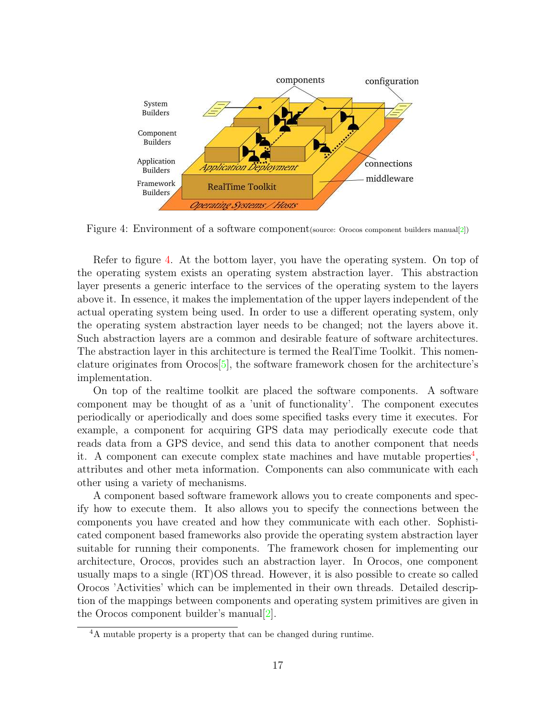<span id="page-18-1"></span>

Figure 4: Environment of a software component (source: Orocos component builders manual[\[2\]](#page-31-1))

Refer to figure [4.](#page-17-0) At the bottom layer, you have the operating system. On top of the operating system exists an operating system abstraction layer. This abstraction layer presents a generic interface to the services of the operating system to the layers above it. In essence, it makes the implementation of the upper layers independent of the actual operating system being used. In order to use a different operating system, only the operating system abstraction layer needs to be changed; not the layers above it. Such abstraction layers are a common and desirable feature of software architectures. The abstraction layer in this architecture is termed the RealTime Toolkit. This nomenclature originates from  $Orocos[5]$  $Orocos[5]$ , the software framework chosen for the architecture's implementation.

<span id="page-18-0"></span>On top of the realtime toolkit are placed the software components. A software component may be thought of as a 'unit of functionality'. The component executes periodically or aperiodically and does some specified tasks every time it executes. For example, a component for acquiring GPS data may periodically execute code that reads data from a GPS device, and send this data to another component that needs it. A component can execute complex state machines and have mutable properties<sup>[4](#page-17-1)</sup>, attributes and other meta information. Components can also communicate with each other using a variety of mechanisms.

A component based software framework allows you to create components and specify how to execute them. It also allows you to specify the connections between the components you have created and how they communicate with each other. Sophisticated component based frameworks also provide the operating system abstraction layer suitable for running their components. The framework chosen for implementing our architecture, Orocos, provides such an abstraction layer. In Orocos, one component usually maps to a single (RT)OS thread. However, it is also possible to create so called Orocos 'Activities' which can be implemented in their own threads. Detailed description of the mappings between components and operating system primitives are given in the Orocos component builder's manual $[2]$ .

<sup>4</sup>A mutable property is a property that can be changed during runtime.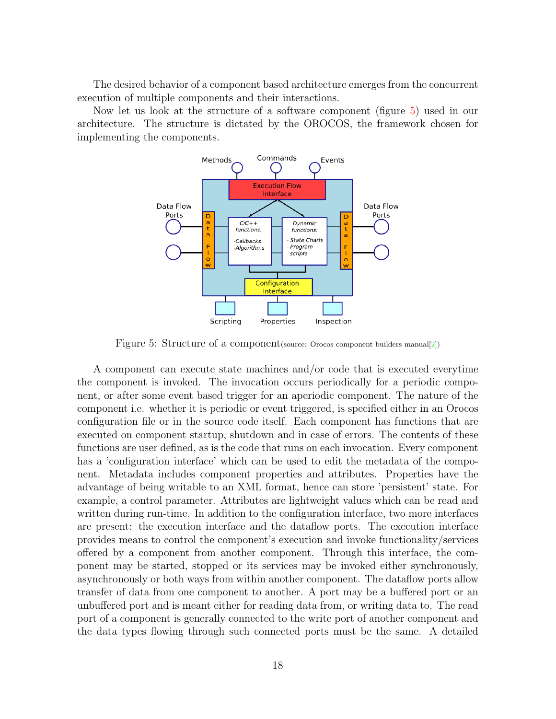<span id="page-19-2"></span>The desired behavior of a component based architecture emerges from the concurrent execution of multiple components and their interactions.

<span id="page-19-0"></span>Now let us look at the structure of a software component (figure [5\)](#page-18-0) used in our architecture. The structure is dictated by the OROCOS, the framework chosen for implementing the components.



<span id="page-19-1"></span>Figure 5: Structure of a component(source: Orocos component builders manual[\[2\]](#page-31-1))

A component can execute state machines and/or code that is executed everytime the component is invoked. The invocation occurs periodically for a periodic component, or after some event based trigger for an aperiodic component. The nature of the component i.e. whether it is periodic or event triggered, is specified either in an Orocos configuration file or in the source code itself. Each component has functions that are executed on component startup, shutdown and in case of errors. The contents of these functions are user defined, as is the code that runs on each invocation. Every component has a 'configuration interface' which can be used to edit the metadata of the component. Metadata includes component properties and attributes. Properties have the advantage of being writable to an XML format, hence can store 'persistent' state. For example, a control parameter. Attributes are lightweight values which can be read and written during run-time. In addition to the configuration interface, two more interfaces are present: the execution interface and the dataflow ports. The execution interface provides means to control the component's execution and invoke functionality/services offered by a component from another component. Through this interface, the component may be started, stopped or its services may be invoked either synchronously, asynchronously or both ways from within another component. The dataflow ports allow transfer of data from one component to another. A port may be a buffered port or an unbuffered port and is meant either for reading data from, or writing data to. The read port of a component is generally connected to the write port of another component and the data types flowing through such connected ports must be the same. A detailed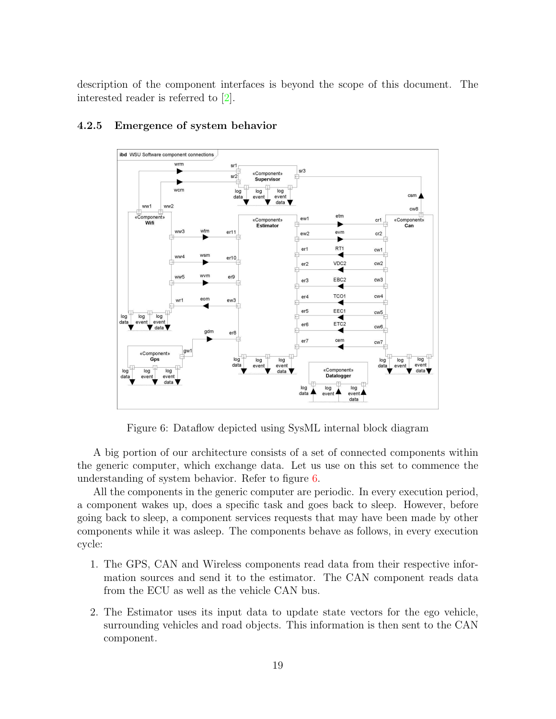description of the component interfaces is beyond the scope of this document. The interested reader is referred to [\[2\]](#page-31-1).



#### 4.2.5 Emergence of system behavior

Figure 6: Dataflow depicted using SysML internal block diagram

A big portion of our architecture consists of a set of connected components within the generic computer, which exchange data. Let us use on this set to commence the understanding of system behavior. Refer to figure [6.](#page-19-1)

All the components in the generic computer are periodic. In every execution period, a component wakes up, does a specific task and goes back to sleep. However, before going back to sleep, a component services requests that may have been made by other components while it was asleep. The components behave as follows, in every execution cycle:

- <span id="page-20-0"></span>1. The GPS, CAN and Wireless components read data from their respective information sources and send it to the estimator. The CAN component reads data from the ECU as well as the vehicle CAN bus.
- 2. The Estimator uses its input data to update state vectors for the ego vehicle, surrounding vehicles and road objects. This information is then sent to the CAN component.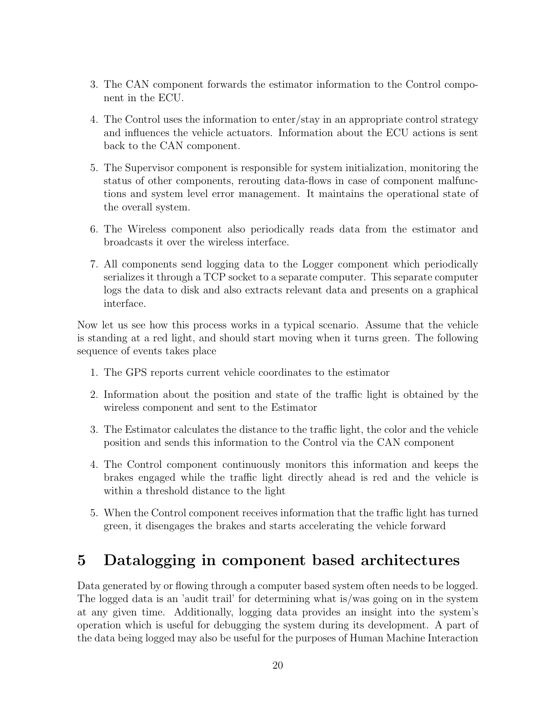- 3. The CAN component forwards the estimator information to the Control component in the ECU.
- 4. The Control uses the information to enter/stay in an appropriate control strategy and influences the vehicle actuators. Information about the ECU actions is sent back to the CAN component.
- <span id="page-21-0"></span>5. The Supervisor component is responsible for system initialization, monitoring the status of other components, rerouting data-flows in case of component malfunctions and system level error management. It maintains the operational state of the overall system.
- 6. The Wireless component also periodically reads data from the estimator and broadcasts it over the wireless interface.
- 7. All components send logging data to the Logger component which periodically serializes it through a TCP socket to a separate computer. This separate computer logs the data to disk and also extracts relevant data and presents on a graphical interface.

Now let us see how this process works in a typical scenario. Assume that the vehicle is standing at a red light, and should start moving when it turns green. The following sequence of events takes place

- 1. The GPS reports current vehicle coordinates to the estimator
- <span id="page-21-1"></span>2. Information about the position and state of the traffic light is obtained by the wireless component and sent to the Estimator
- 3. The Estimator calculates the distance to the traffic light, the color and the vehicle position and sends this information to the Control via the CAN component
- 4. The Control component continuously monitors this information and keeps the brakes engaged while the traffic light directly ahead is red and the vehicle is within a threshold distance to the light
- 5. When the Control component receives information that the traffic light has turned green, it disengages the brakes and starts accelerating the vehicle forward

# 5 Datalogging in component based architectures

Data generated by or flowing through a computer based system often needs to be logged. The logged data is an 'audit trail' for determining what is/was going on in the system at any given time. Additionally, logging data provides an insight into the system's operation which is useful for debugging the system during its development. A part of the data being logged may also be useful for the purposes of Human Machine Interaction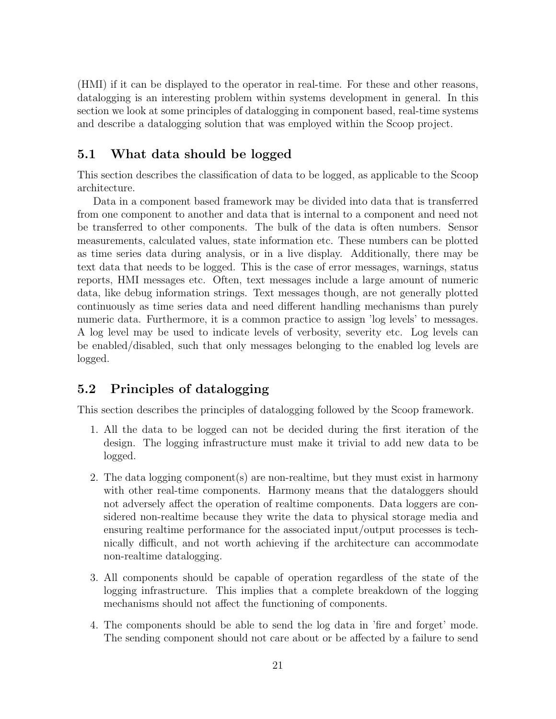(HMI) if it can be displayed to the operator in real-time. For these and other reasons, datalogging is an interesting problem within systems development in general. In this section we look at some principles of datalogging in component based, real-time systems and describe a datalogging solution that was employed within the Scoop project.

### 5.1 What data should be logged

This section describes the classification of data to be logged, as applicable to the Scoop architecture.

Data in a component based framework may be divided into data that is transferred from one component to another and data that is internal to a component and need not be transferred to other components. The bulk of the data is often numbers. Sensor measurements, calculated values, state information etc. These numbers can be plotted as time series data during analysis, or in a live display. Additionally, there may be text data that needs to be logged. This is the case of error messages, warnings, status reports, HMI messages etc. Often, text messages include a large amount of numeric data, like debug information strings. Text messages though, are not generally plotted continuously as time series data and need different handling mechanisms than purely numeric data. Furthermore, it is a common practice to assign 'log levels' to messages. A log level may be used to indicate levels of verbosity, severity etc. Log levels can be enabled/disabled, such that only messages belonging to the enabled log levels are logged.

### <span id="page-22-0"></span>5.2 Principles of datalogging

This section describes the principles of datalogging followed by the Scoop framework.

- 1. All the data to be logged can not be decided during the first iteration of the design. The logging infrastructure must make it trivial to add new data to be logged.
- 2. The data logging component(s) are non-realtime, but they must exist in harmony with other real-time components. Harmony means that the dataloggers should not adversely affect the operation of realtime components. Data loggers are considered non-realtime because they write the data to physical storage media and ensuring realtime performance for the associated input/output processes is technically difficult, and not worth achieving if the architecture can accommodate non-realtime datalogging.
- 3. All components should be capable of operation regardless of the state of the logging infrastructure. This implies that a complete breakdown of the logging mechanisms should not affect the functioning of components.
- 4. The components should be able to send the log data in 'fire and forget' mode. The sending component should not care about or be affected by a failure to send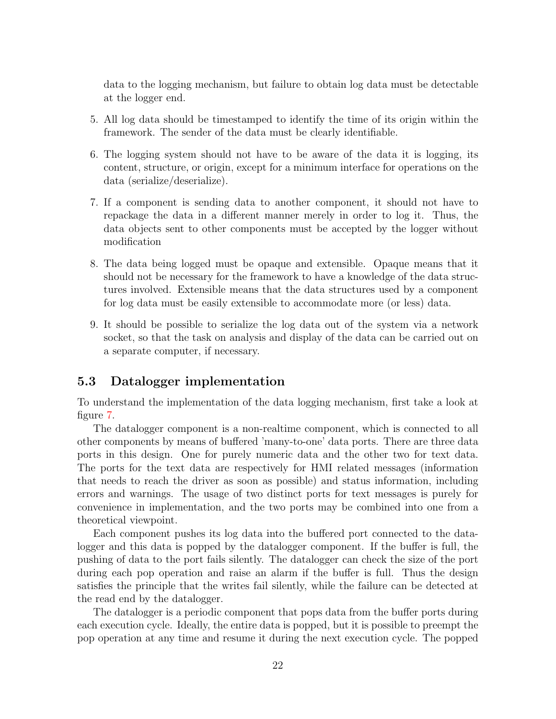<span id="page-23-2"></span>data to the logging mechanism, but failure to obtain log data must be detectable at the logger end.

- 5. All log data should be timestamped to identify the time of its origin within the framework. The sender of the data must be clearly identifiable.
- 6. The logging system should not have to be aware of the data it is logging, its content, structure, or origin, except for a minimum interface for operations on the data (serialize/deserialize).
- 7. If a component is sending data to another component, it should not have to repackage the data in a different manner merely in order to log it. Thus, the data objects sent to other components must be accepted by the logger without modification
- 8. The data being logged must be opaque and extensible. Opaque means that it should not be necessary for the framework to have a knowledge of the data structures involved. Extensible means that the data structures used by a component for log data must be easily extensible to accommodate more (or less) data.
- <span id="page-23-0"></span>9. It should be possible to serialize the log data out of the system via a network socket, so that the task on analysis and display of the data can be carried out on a separate computer, if necessary.

### 5.3 Datalogger implementation

To understand the implementation of the data logging mechanism, first take a look at figure [7.](#page-23-0)

The datalogger component is a non-realtime component, which is connected to all other components by means of buffered 'many-to-one' data ports. There are three data ports in this design. One for purely numeric data and the other two for text data. The ports for the text data are respectively for HMI related messages (information that needs to reach the driver as soon as possible) and status information, including errors and warnings. The usage of two distinct ports for text messages is purely for convenience in implementation, and the two ports may be combined into one from a theoretical viewpoint.

Each component pushes its log data into the buffered port connected to the datalogger and this data is popped by the datalogger component. If the buffer is full, the pushing of data to the port fails silently. The datalogger can check the size of the port during each pop operation and raise an alarm if the buffer is full. Thus the design satisfies the principle that the writes fail silently, while the failure can be detected at the read end by the datalogger.

<span id="page-23-1"></span>The datalogger is a periodic component that pops data from the buffer ports during each execution cycle. Ideally, the entire data is popped, but it is possible to preempt the pop operation at any time and resume it during the next execution cycle. The popped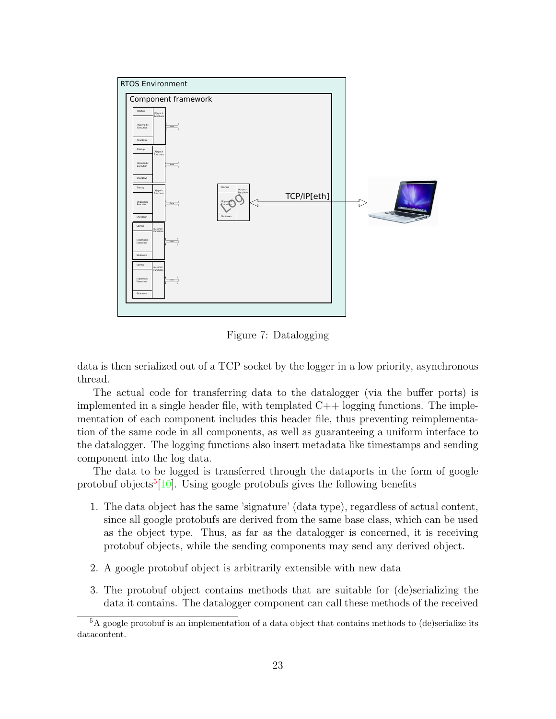

Figure 7: Datalogging

data is then serialized out of a TCP socket by the logger in a low priority, asynchronous thread.

The actual code for transferring data to the datalogger (via the buffer ports) is implemented in a single header file, with templated  $C++$  logging functions. The implementation of each component includes this header file, thus preventing reimplementation of the same code in all components, as well as guaranteeing a uniform interface to the datalogger. The logging functions also insert metadata like timestamps and sending component into the log data.

The data to be logged is transferred through the dataports in the form of google protobuf objects<sup>[5](#page-23-1)</sup>[\[10\]](#page-31-10). Using google protobufs gives the following benefits

- <span id="page-24-0"></span>1. The data object has the same 'signature' (data type), regardless of actual content, since all google protobufs are derived from the same base class, which can be used as the object type. Thus, as far as the datalogger is concerned, it is receiving protobuf objects, while the sending components may send any derived object.
- 2. A google protobuf object is arbitrarily extensible with new data
- 3. The protobuf object contains methods that are suitable for (de)serializing the data it contains. The datalogger component can call these methods of the received

<sup>&</sup>lt;sup>5</sup>A google protobuf is an implementation of a data object that contains methods to (de)serialize its datacontent.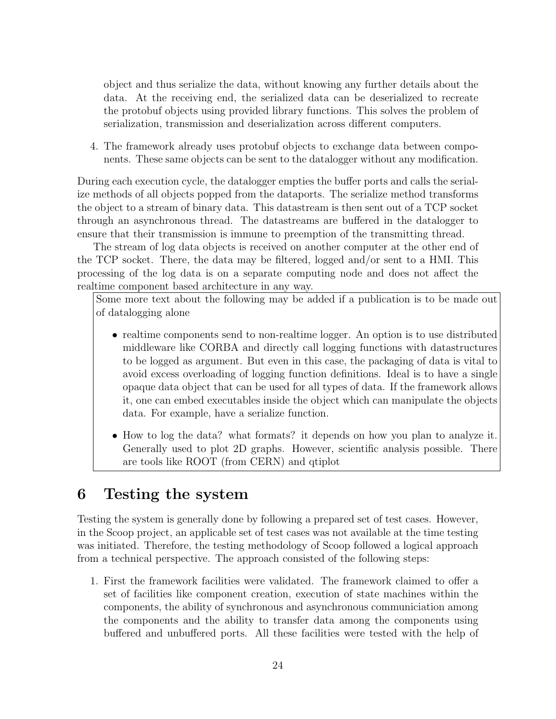object and thus serialize the data, without knowing any further details about the data. At the receiving end, the serialized data can be deserialized to recreate the protobuf objects using provided library functions. This solves the problem of serialization, transmission and deserialization across different computers.

4. The framework already uses protobuf objects to exchange data between components. These same objects can be sent to the datalogger without any modification.

During each execution cycle, the datalogger empties the buffer ports and calls the serialize methods of all objects popped from the dataports. The serialize method transforms the object to a stream of binary data. This datastream is then sent out of a TCP socket through an asynchronous thread. The datastreams are buffered in the datalogger to ensure that their transmission is immune to preemption of the transmitting thread.

The stream of log data objects is received on another computer at the other end of the TCP socket. There, the data may be filtered, logged and/or sent to a HMI. This processing of the log data is on a separate computing node and does not affect the realtime component based architecture in any way.

Some more text about the following may be added if a publication is to be made out of datalogging alone

- realtime components send to non-realtime logger. An option is to use distributed middleware like CORBA and directly call logging functions with datastructures to be logged as argument. But even in this case, the packaging of data is vital to avoid excess overloading of logging function definitions. Ideal is to have a single opaque data object that can be used for all types of data. If the framework allows it, one can embed executables inside the object which can manipulate the objects data. For example, have a serialize function.
- How to log the data? what formats? it depends on how you plan to analyze it. Generally used to plot 2D graphs. However, scientific analysis possible. There are tools like ROOT (from CERN) and qtiplot

# 6 Testing the system

Testing the system is generally done by following a prepared set of test cases. However, in the Scoop project, an applicable set of test cases was not available at the time testing was initiated. Therefore, the testing methodology of Scoop followed a logical approach from a technical perspective. The approach consisted of the following steps:

1. First the framework facilities were validated. The framework claimed to offer a set of facilities like component creation, execution of state machines within the components, the ability of synchronous and asynchronous communiciation among the components and the ability to transfer data among the components using buffered and unbuffered ports. All these facilities were tested with the help of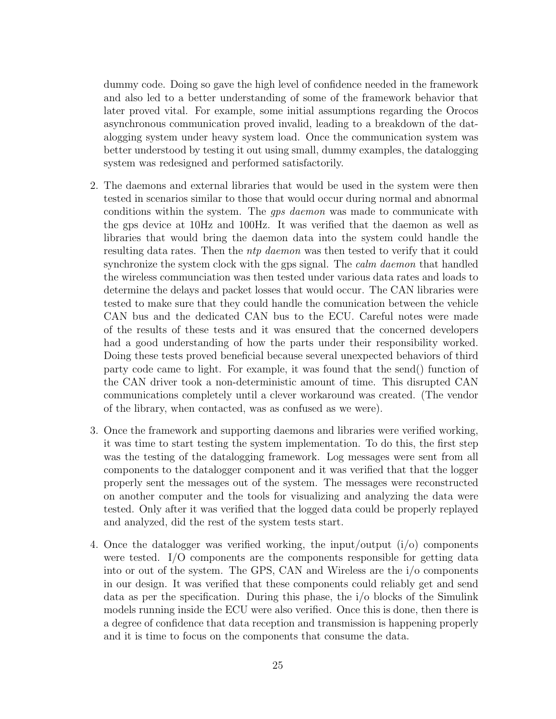dummy code. Doing so gave the high level of confidence needed in the framework and also led to a better understanding of some of the framework behavior that later proved vital. For example, some initial assumptions regarding the Orocos asynchronous communication proved invalid, leading to a breakdown of the datalogging system under heavy system load. Once the communication system was better understood by testing it out using small, dummy examples, the datalogging system was redesigned and performed satisfactorily.

- 2. The daemons and external libraries that would be used in the system were then tested in scenarios similar to those that would occur during normal and abnormal conditions within the system. The gps daemon was made to communicate with the gps device at 10Hz and 100Hz. It was verified that the daemon as well as libraries that would bring the daemon data into the system could handle the resulting data rates. Then the *ntp daemon* was then tested to verify that it could synchronize the system clock with the gps signal. The *calm daemon* that handled the wireless communciation was then tested under various data rates and loads to determine the delays and packet losses that would occur. The CAN libraries were tested to make sure that they could handle the comunication between the vehicle CAN bus and the dedicated CAN bus to the ECU. Careful notes were made of the results of these tests and it was ensured that the concerned developers had a good understanding of how the parts under their responsibility worked. Doing these tests proved beneficial because several unexpected behaviors of third party code came to light. For example, it was found that the send() function of the CAN driver took a non-deterministic amount of time. This disrupted CAN communications completely until a clever workaround was created. (The vendor of the library, when contacted, was as confused as we were).
- <span id="page-26-0"></span>3. Once the framework and supporting daemons and libraries were verified working, it was time to start testing the system implementation. To do this, the first step was the testing of the datalogging framework. Log messages were sent from all components to the datalogger component and it was verified that that the logger properly sent the messages out of the system. The messages were reconstructed on another computer and the tools for visualizing and analyzing the data were tested. Only after it was verified that the logged data could be properly replayed and analyzed, did the rest of the system tests start.
- 4. Once the datalogger was verified working, the input/output  $(i/\delta)$  components were tested. I/O components are the components responsible for getting data into or out of the system. The GPS, CAN and Wireless are the i/o components in our design. It was verified that these components could reliably get and send data as per the specification. During this phase, the i/o blocks of the Simulink models running inside the ECU were also verified. Once this is done, then there is a degree of confidence that data reception and transmission is happening properly and it is time to focus on the components that consume the data.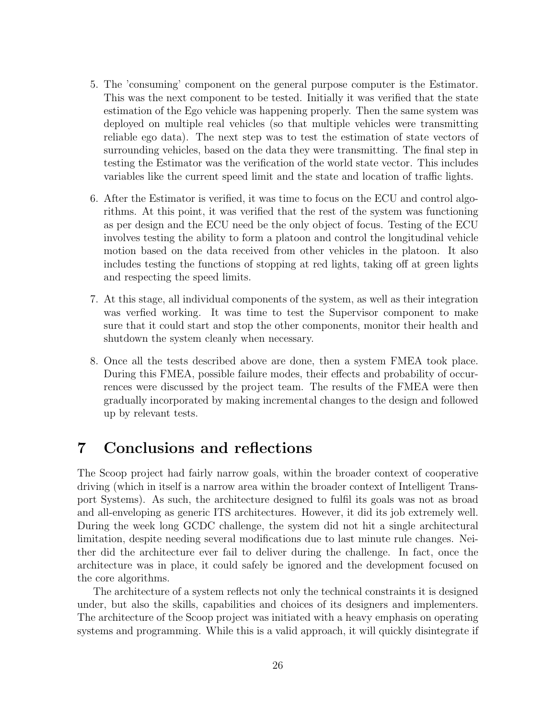- 5. The 'consuming' component on the general purpose computer is the Estimator. This was the next component to be tested. Initially it was verified that the state estimation of the Ego vehicle was happening properly. Then the same system was deployed on multiple real vehicles (so that multiple vehicles were transmitting reliable ego data). The next step was to test the estimation of state vectors of surrounding vehicles, based on the data they were transmitting. The final step in testing the Estimator was the verification of the world state vector. This includes variables like the current speed limit and the state and location of traffic lights.
- 6. After the Estimator is verified, it was time to focus on the ECU and control algorithms. At this point, it was verified that the rest of the system was functioning as per design and the ECU need be the only object of focus. Testing of the ECU involves testing the ability to form a platoon and control the longitudinal vehicle motion based on the data received from other vehicles in the platoon. It also includes testing the functions of stopping at red lights, taking off at green lights and respecting the speed limits.
- 7. At this stage, all individual components of the system, as well as their integration was verfied working. It was time to test the Supervisor component to make sure that it could start and stop the other components, monitor their health and shutdown the system cleanly when necessary.
- 8. Once all the tests described above are done, then a system FMEA took place. During this FMEA, possible failure modes, their effects and probability of occurrences were discussed by the project team. The results of the FMEA were then gradually incorporated by making incremental changes to the design and followed up by relevant tests.

## <span id="page-27-0"></span>7 Conclusions and reflections

<span id="page-27-1"></span>The Scoop project had fairly narrow goals, within the broader context of cooperative driving (which in itself is a narrow area within the broader context of Intelligent Transport Systems). As such, the architecture designed to fulfil its goals was not as broad and all-enveloping as generic ITS architectures. However, it did its job extremely well. During the week long GCDC challenge, the system did not hit a single architectural limitation, despite needing several modifications due to last minute rule changes. Neither did the architecture ever fail to deliver during the challenge. In fact, once the architecture was in place, it could safely be ignored and the development focused on the core algorithms.

The architecture of a system reflects not only the technical constraints it is designed under, but also the skills, capabilities and choices of its designers and implementers. The architecture of the Scoop project was initiated with a heavy emphasis on operating systems and programming. While this is a valid approach, it will quickly disintegrate if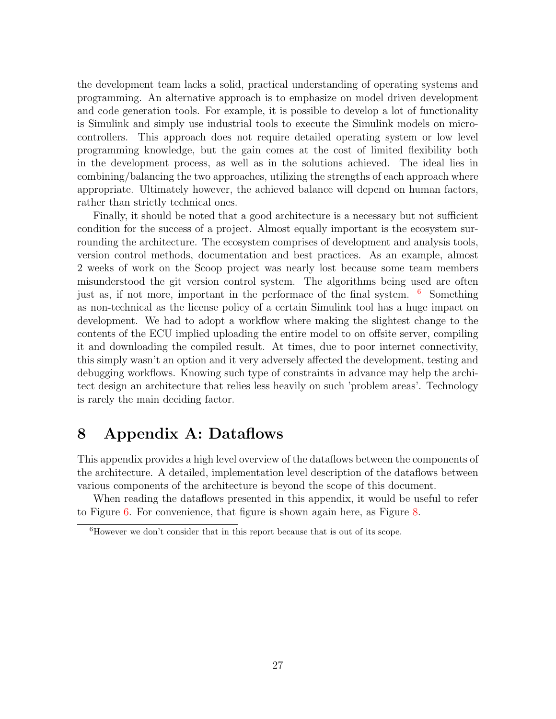the development team lacks a solid, practical understanding of operating systems and programming. An alternative approach is to emphasize on model driven development and code generation tools. For example, it is possible to develop a lot of functionality is Simulink and simply use industrial tools to execute the Simulink models on microcontrollers. This approach does not require detailed operating system or low level programming knowledge, but the gain comes at the cost of limited flexibility both in the development process, as well as in the solutions achieved. The ideal lies in combining/balancing the two approaches, utilizing the strengths of each approach where appropriate. Ultimately however, the achieved balance will depend on human factors, rather than strictly technical ones.

Finally, it should be noted that a good architecture is a necessary but not sufficient condition for the success of a project. Almost equally important is the ecosystem surrounding the architecture. The ecosystem comprises of development and analysis tools, version control methods, documentation and best practices. As an example, almost 2 weeks of work on the Scoop project was nearly lost because some team members misunderstood the git version control system. The algorithms being used are often just as, if not more, important in the performace of the final system.  $6$  Something as non-technical as the license policy of a certain Simulink tool has a huge impact on development. We had to adopt a workflow where making the slightest change to the contents of the ECU implied uploading the entire model to on offsite server, compiling it and downloading the compiled result. At times, due to poor internet connectivity, this simply wasn't an option and it very adversely affected the development, testing and debugging workflows. Knowing such type of constraints in advance may help the architect design an architecture that relies less heavily on such 'problem areas'. Technology is rarely the main deciding factor.

### <span id="page-28-0"></span>8 Appendix A: Dataflows

This appendix provides a high level overview of the dataflows between the components of the architecture. A detailed, implementation level description of the dataflows between various components of the architecture is beyond the scope of this document.

When reading the dataflows presented in this appendix, it would be useful to refer to Figure [6.](#page-19-1) For convenience, that figure is shown again here, as Figure [8.](#page-28-0)

 ${}^{6}$ However we don't consider that in this report because that is out of its scope.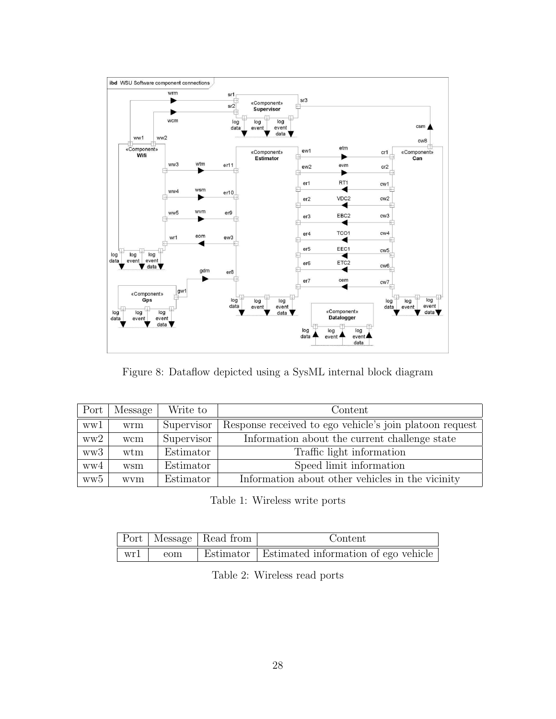

Figure 8: Dataflow depicted using a SysML internal block diagram

| Port            | Message | Write to   | Content                                                 |
|-----------------|---------|------------|---------------------------------------------------------|
| ww1             | wrm     | Supervisor | Response received to ego vehicle's join platoon request |
| ww2             | wcm     | Supervisor | Information about the current challenge state           |
| ww3             | wtm     | Estimator  | Traffic light information                               |
| ww4             | wsm     | Estimator  | Speed limit information                                 |
| ww <sub>5</sub> | wvm     | Estimator  | Information about other vehicles in the vicinity        |

Table 1: Wireless write ports

|                          | Port   Message   Read from |  | Content                                          |  |
|--------------------------|----------------------------|--|--------------------------------------------------|--|
| $\vert \text{wr1} \vert$ | eom                        |  | Estimator   Estimated information of ego vehicle |  |

Table 2: Wireless read ports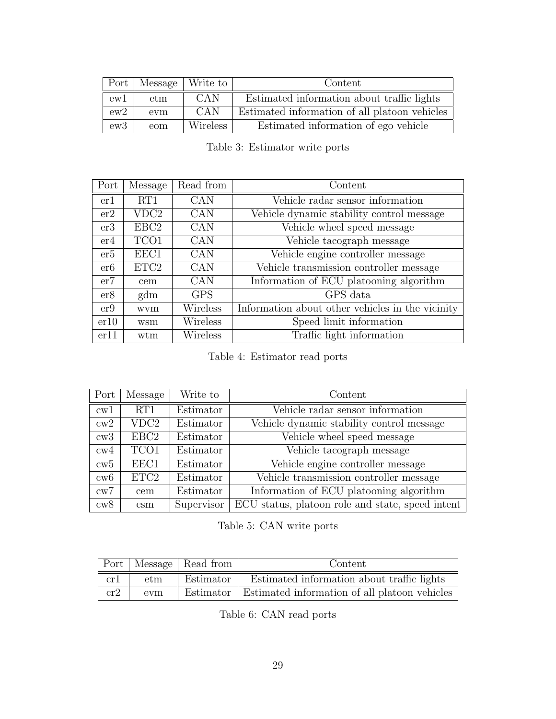|     | Port   Message   Write to |            | Content                                       |
|-----|---------------------------|------------|-----------------------------------------------|
| ew1 | etm                       | -CAN       | Estimated information about traffic lights    |
| ew2 | evm                       | <b>CAN</b> | Estimated information of all platoon vehicles |
| ew3 | eom                       | Wireless   | Estimated information of ego vehicle          |

Table 3: Estimator write ports

<span id="page-30-0"></span>

| Port | Message          | Read from  | Content                                          |
|------|------------------|------------|--------------------------------------------------|
| er1  | RT1              | <b>CAN</b> | Vehicle radar sensor information                 |
| er2  | VDC2             | CAN        | Vehicle dynamic stability control message        |
| er3  | EBC <sub>2</sub> | CAN        | Vehicle wheel speed message                      |
| er4  | TCO1             | <b>CAN</b> | Vehicle tacograph message                        |
| er5  | EEC1             | <b>CAN</b> | Vehicle engine controller message                |
| er6  | ETC <sub>2</sub> | <b>CAN</b> | Vehicle transmission controller message          |
| er7  | cem              | <b>CAN</b> | Information of ECU platooning algorithm          |
| er8  | gdm              | <b>GPS</b> | GPS data                                         |
| er9  | wvm              | Wireless   | Information about other vehicles in the vicinity |
| er10 | wsm              | Wireless   | Speed limit information                          |
| er11 | wtm              | Wireless   | Traffic light information                        |

Table 4: Estimator read ports

| Port         | Message          | Write to   | Content                                          |
|--------------|------------------|------------|--------------------------------------------------|
| $\text{cw}1$ | RT1              | Estimator  | Vehicle radar sensor information                 |
| cw2          | VDC <sub>2</sub> | Estimator  | Vehicle dynamic stability control message        |
| cw3          | EBC <sub>2</sub> | Estimator  | Vehicle wheel speed message                      |
| cw4          | TCO1             | Estimator  | Vehicle tacograph message                        |
| cw5          | EEC1             | Estimator  | Vehicle engine controller message                |
| cw6          | ETC <sub>2</sub> | Estimator  | Vehicle transmission controller message          |
| cw7          | cem              | Estimator  | Information of ECU platooning algorithm          |
| cw8          | $\mathrm{csm}$   | Supervisor | ECU status, platoon role and state, speed intent |

Table 5: CAN write ports

<span id="page-30-1"></span>

|     |     | Port   Message   Read from | Content                                                   |
|-----|-----|----------------------------|-----------------------------------------------------------|
| cr1 | etm | Estimator                  | Estimated information about traffic lights                |
| cr2 | evm |                            | Estimator   Estimated information of all platoon vehicles |

Table 6: CAN read ports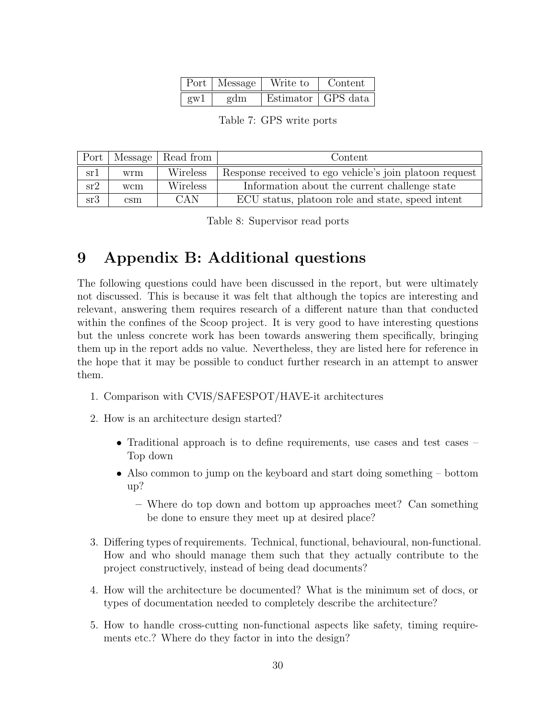|          | Port   Message | Write to | Content              |
|----------|----------------|----------|----------------------|
| $g_{W}1$ | gdm            |          | Estimator   GPS data |

Table 7: GPS write ports

<span id="page-31-2"></span><span id="page-31-1"></span><span id="page-31-0"></span>

|     |     | Port   Message   Read from | Content                                                 |
|-----|-----|----------------------------|---------------------------------------------------------|
| sr1 | wrm | Wireless                   | Response received to ego vehicle's join platoon request |
| sr2 | wcm | Wireless                   | Information about the current challenge state           |
| sr3 | csm | CAN                        | ECU status, platoon role and state, speed intent        |

Table 8: Supervisor read ports

# <span id="page-31-4"></span><span id="page-31-3"></span>9 Appendix B: Additional questions

<span id="page-31-6"></span><span id="page-31-5"></span>The following questions could have been discussed in the report, but were ultimately not discussed. This is because it was felt that although the topics are interesting and relevant, answering them requires research of a different nature than that conducted within the confines of the Scoop project. It is very good to have interesting questions but the unless concrete work has been towards answering them specifically, bringing them up in the report adds no value. Nevertheless, they are listed here for reference in the hope that it may be possible to conduct further research in an attempt to answer them.

- <span id="page-31-9"></span><span id="page-31-7"></span>1. Comparison with CVIS/SAFESPOT/HAVE-it architectures
- <span id="page-31-11"></span><span id="page-31-10"></span>2. How is an architecture design started?
	- Traditional approach is to define requirements, use cases and test cases Top down
	- Also common to jump on the keyboard and start doing something bottom up?
		- Where do top down and bottom up approaches meet? Can something be done to ensure they meet up at desired place?
- <span id="page-31-13"></span><span id="page-31-12"></span>3. Differing types of requirements. Technical, functional, behavioural, non-functional. How and who should manage them such that they actually contribute to the project constructively, instead of being dead documents?
- <span id="page-31-14"></span><span id="page-31-8"></span>4. How will the architecture be documented? What is the minimum set of docs, or types of documentation needed to completely describe the architecture?
- 5. How to handle cross-cutting non-functional aspects like safety, timing requirements etc.? Where do they factor in into the design?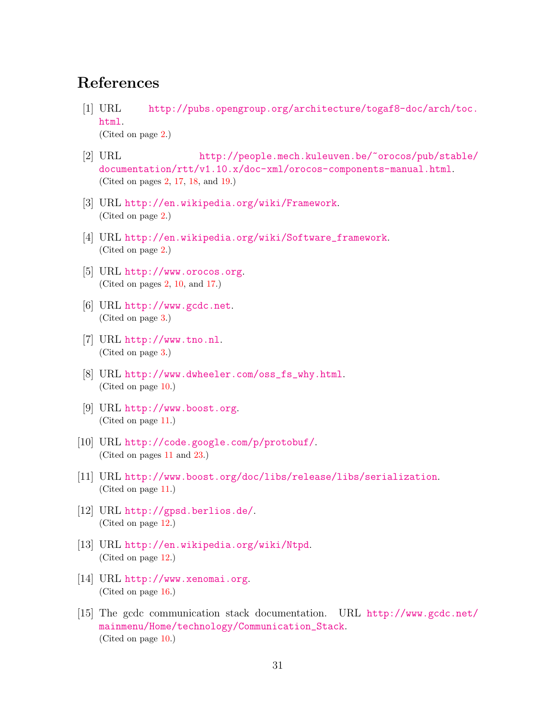# <span id="page-32-0"></span>References

- <span id="page-32-1"></span>[1] URL [http://pubs.opengroup.org/architecture/togaf8-doc/arch/toc.](http://pubs.opengroup.org/architecture/togaf8-doc/arch/toc.html) [html](http://pubs.opengroup.org/architecture/togaf8-doc/arch/toc.html). (Cited on page [2.](#page-2-1))
- [2] URL [http://people.mech.kuleuven.be/~orocos/pub/stable/](http://people.mech.kuleuven.be/~orocos/pub/stable/documentation/rtt/v1.10.x/doc-xml/orocos-components-manual.html) [documentation/rtt/v1.10.x/doc-xml/orocos-components-manual.html](http://people.mech.kuleuven.be/~orocos/pub/stable/documentation/rtt/v1.10.x/doc-xml/orocos-components-manual.html). (Cited on pages [2,](#page-2-1) [17,](#page-17-2) [18,](#page-18-1) and [19.](#page-19-2))
- <span id="page-32-3"></span>[3] URL <http://en.wikipedia.org/wiki/Framework>. (Cited on page [2.](#page-2-1))
- [4] URL [http://en.wikipedia.org/wiki/Software\\_framework](http://en.wikipedia.org/wiki/Software_framework). (Cited on page [2.](#page-2-1))
- <span id="page-32-4"></span>[5] URL <http://www.orocos.org>. (Cited on pages [2,](#page-2-1) [10,](#page-10-2) and [17.](#page-17-2))
- <span id="page-32-2"></span>[6] URL <http://www.gcdc.net>. (Cited on page [3.](#page-3-2))
- [7] URL <http://www.tno.nl>. (Cited on page [3.](#page-3-2))
- <span id="page-32-5"></span>[8] URL [http://www.dwheeler.com/oss\\_fs\\_why.html](http://www.dwheeler.com/oss_fs_why.html). (Cited on page [10.](#page-10-2))
- [9] URL <http://www.boost.org>. (Cited on page [11.](#page-11-0))
- [10] URL <http://code.google.com/p/protobuf/>. (Cited on pages [11](#page-11-0) and [23.](#page-23-2))
- [11] URL <http://www.boost.org/doc/libs/release/libs/serialization>. (Cited on page [11.](#page-11-0))
- [12] URL <http://gpsd.berlios.de/>. (Cited on page [12.](#page-12-1))
- [13] URL <http://en.wikipedia.org/wiki/Ntpd>. (Cited on page [12.](#page-12-1))
- [14] URL <http://www.xenomai.org>. (Cited on page [16.](#page-16-2))
- [15] The gcdc communication stack documentation. URL [http://www.gcdc.net/](http://www.gcdc.net/mainmenu/Home/technology/Communication_Stack) [mainmenu/Home/technology/Communication\\_Stack](http://www.gcdc.net/mainmenu/Home/technology/Communication_Stack). (Cited on page [10.](#page-10-2))